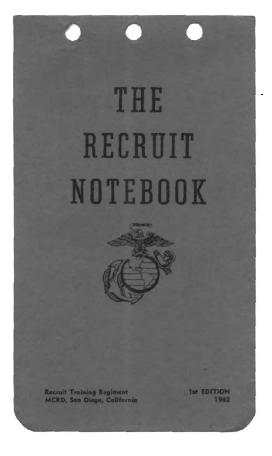# THE RECRUIT NOTEBOOK

O



**Recruit Training Regiment MCRD, San Diego, Colifornia**  **Ist EDITION** 1962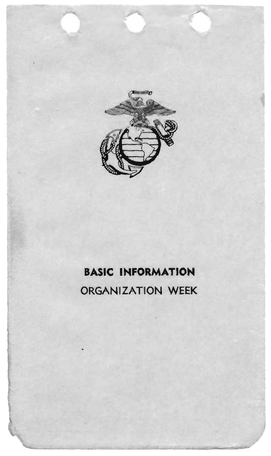

## **BASIC INFORMATION**

## ORGANIZATION WEEK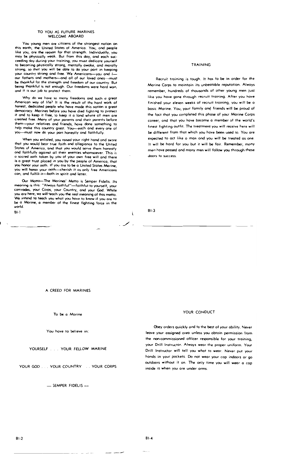#### TO YOU AS FUTURE MARINES **WELCOME ABOARD**

You young men are citizens of the strongest nation on rou young men are circlens or the strongest hatton on<br>this earth, the United States of America. You, and people<br>like you, are the reason far that strength. Individually, you be physically weak. But from this day, and each sucmay ceeding day during your training, you must dedicate yourself ta becoming physically strong, mentally awake, and morally<br>strong, so that you will be able ta do your port in keeping your country strong and free. We Americans-you and Iour fathers and mothers-and all of our loved ones -- must be thankful for the strength and freedom of our country. But being thankful is not enough. Our freedoms were hard won, and it is our job to pratect them.

Why do we have so many freedoms and such a great American way of life? It is the result of the hard work af honest, dedicated people who have mode this nation a great democracy. Marines befare you have died fighting to pratect it and to keep it free, to keep it a lond where all men are created free. Many of your parents ond their parents before them-your relatives and friends, hove done something to help make this country great. You-each and every one of you-must now do your part honestly and faithfully.

When you enlisted, you raised your right hand ond swore that you would bear true faith and allegiance to the United<br>States of America, and that you would serve them honestly ond faithfully against all their enemies whamsoever. This is o socred oath taken by you of your own free will and there is a great trust ploced in you by the people of America, that you honor your oath. If you are to be a United States Marine, you will honor your oath-cherish it os only free Americans can, and fulfill it-both in spirit and letter.

Our Motto-The Morines' Motto is Semper Fidelis. Its meaning is this: "Always faithful"-foithful to yourself, your comrades, your Corps, your Country, and your God. While you are here, we will teach you the real meaning of this motto. We intend to teach you whot you hove to know if you are to be a Morine, a member of the finest fighting force in the world. BL1

#### TRAINING

Recruit troining is tough. It has to be in order for the Marine Carps to mointain its unbeatable reputotion. Alwoys remember, hundreds of thousands of other young men just like you have gone through recruit training. After you hove finished your eleven weeks of recruit troining, you will be o basic Marine. You, your family and friends will be proud of the foct that you completed this phase of your Marine Corps coreer, ond thot you hove become a member of the world's finest fighting outfit. The treatment you will receive here will be different from thot which you hove been used to. You are expected to act like o man ond you will be treated as one. It will be hord for you but it will be fair. Remember, mony men hove passed and many men will follow you through these doors to success.

 $B1-3$ 

Ä.  $\sim$ 

A CREED FOR MARINES

To be a Morine

You hove to believe in:

YOURSELF . . . YOUR FELLOW MARINE

YOUR GOD ... YOUR COUNTRY ... YOUR CORPS

- SEMPER FIDELIS -

#### YOUR CONDUCT

Obey orders quickly and to the best of your ability. Never leave your assigned orea unless you obtoin permission from the non-commissioned officer responsible for your training, your Drill Instructor. Always wear the proper uniform. Your Drill Instructor will tell you what to wear. Never put your honds in your pockets. Do not wear your cop indoors or go outdoors without it on. The only time you will wear a cop inside is when you ore under orms.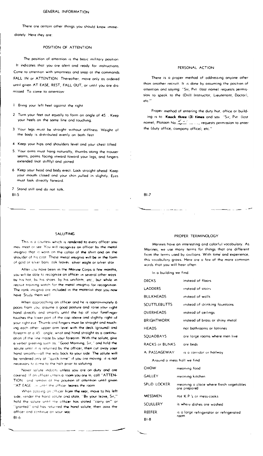There are certain other things you should know imme-

diately Here they are:

#### POSITION OF ATTENTION

The position of attention is the basic military position It indicates that you are alert and ready for instructions. Come to attention with smartness and snap at the commands FALL IN or ATTENTION Thereofter, move only as ordered until given AT EASE, REST, FALL OUT, or until you are dismissed To come to attention

- $\mathbf{I}$ Bring your left heel gaginst the right
- 2 Turn your feet out equally to form on ongle of 45. Keep your heels on the same line ond touching.
- 3 Your legs must be stroight without stiffness. Weight of the body is distributed evenly on bath feet
- 4 Keep your hips ond shoulders level ond your chest lifted
- 5. Your arms must hang noturally, thumbs along the trouser seams, polms facing inward toword your legs, and fingers extended (not stiffly) and joined
- 6 Keep your head and body erect. Look stroight ahead Keep your mouth closed ond your chin pulled in slightly. Eyes must look directly forward

7 Stand still and do not tolk. **BL5** 

#### SALUTING

This is a courtesy which is rendered to every officer you may meet or see. You will recognize an officer by the metal insignio that is worn on the collar of the shirt and on the shoulder of his coat. These metal insignia will be in the form of gold or silver bars, oak leaves, silver eagle or silver star

After you have been in the Marine Corps a few months, you will be oble to recognize an officer in several other ways. by his hat, by his shoes by his uniform, etc., but while in recruit training watch for the metal insignio for recognition The rank insignia ore included in the material that you now have Study them well

When approaching an officer and he is opproximately 6 poces from you, assume a good posture and raise your right hand directly and smartly until the tip of your forefinger touches the lower part of the cap above and slightly right of your right eve. Thumb and fingers must be straight and touching each other lupper arm level with the deck (ground) and forearm at a 45 angle, wrist and hond straight as a continuotion of the line made by your forearm. With the salute, give a verbal greeting such as, "Good Marning, Sir," and hold the saiute until it is returned by the officer, then cut oway your hand smartly-all the way back to your side. The salute will be rendered only at "quick time" if you ore moving it is not necessary to come to the halt prior to saluting

Never solute indocrs unless you are on duty and are covered. If an officer unters a room you are in, call "ATTEN-TION and remoin at the position of ottention until given "AT EASE" or until the officer looves the room

When possing an efficer from the rear, move to his left side, render the hand solute and state, "By your leave, Sir," hold the salute until the officer has stated "carry on" ar 'granted' ond has returned the hand solute, then pass the officer and continue on your way  $B1-6$ 

#### PERSONAL ACTION

There is a proper method of addressing anyone other than onather recruit. It is done by assuming the position of ottention ond saying: "Sir, Pvt (last name) requests permission to speak to the (Drill Instructor, Lieutenant, Doctor), etc."

Proper method of entering the duty hut, office or building is to Knock three (3) times and say "Sir, Pvt (last nome), Plotoon No. \_\_\_\_\_\_\_\_\_\_\_, requests permission to enter the (duty office, compony office), etc."

 $R1.7$ 

#### PROPER TERMINOLOGY

Marines have an interesting and colorful vocobulary. As Marines, we use many terms for things that ore different from the terms used by civilians. With time and experience, this vocabulary grows. Here are a few of the more common words that you will hear often

In a building we find.

| <b>DECKS</b>            | instead of floors                                      |
|-------------------------|--------------------------------------------------------|
| LADDERS                 | instead of stairs                                      |
| <b>BULKHEADS</b>        | instead of walls                                       |
| <b>SCUTTLEBUTTS</b>     | instead of drinking fountoins                          |
| <b>OVERHEADS</b>        | instead of ceilings                                    |
| <b>BRIGHTWORK</b>       | instead of brass or shiny metol                        |
| <b>HEADS</b>            | not bathrooms or lotrines                              |
| SOUADBAYS               | are large rooms where men live                         |
| RACKS or BUNKS are beds |                                                        |
| A PASSAGEWAY            | is a corridor or hallwoy                               |
|                         | Around o mess hall we find                             |
| CHOW                    | meoning food                                           |
| GALLEY                  | meaning kitchen                                        |
| SPUD LOCKER             | meaning a place where fresh vegetables<br>ore prepared |
| <b>MESSMEN</b>          | not K P's or mess-cooks                                |
| SCULLERY                | is where dishes are washed                             |
| REEFER                  | is a large refrigerator or refrigerated                |
| $B1-8$                  | room                                                   |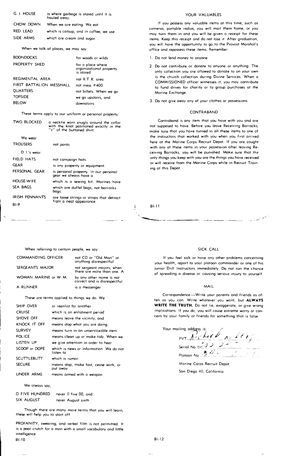| G. I. HOUSE | is where garbage is stared until it is<br>hauled away. |
|-------------|--------------------------------------------------------|
| CHOW DOWN   | When we are eating. We eat                             |
| RED LEAD    | which is catsup, ond in coffee, we use                 |
| SIDE ARMS   | which are cream and sugar                              |

When we talk af places, we may soy:

| for woods or wilds                                        |
|-----------------------------------------------------------|
| for a place where<br>orgonizational property<br>is stored |
| nat R.T.R. area                                           |
| not mess $#400$                                           |
| not billets. When we go                                   |
| we go upstairs, and                                       |
| downstoirs.                                               |
|                                                           |

These terms opply to our uniform or personal praperty:

| <b>TWO BLOCKED</b>         | a necktie worn snugly around the collor                               |                            |
|----------------------------|-----------------------------------------------------------------------|----------------------------|
|                            | with the knot positioned exoctly in the<br>"v" of the buttoned shirt. | not su<br>moke             |
| We wear<br><b>TROUSERS</b> | not pants                                                             | the in<br>here o<br>with c |
| D 1.'s wear:               |                                                                       | ceivin                     |
| FIELD HATS                 | not campaign hats.                                                    | only t                     |
| <b>GEAR</b>                | is ony property or equipment.                                         | or wil                     |
| PERSONAL GEAR              | is persanal property. In our personal<br>gear we always have a        | ing ot                     |
| <b>HOUSE-WIFE</b>          | which is a sewing kit. Marines have                                   |                            |
| SEA BAGS                   | which are duffel bags, not barrocks<br>bags.                          |                            |
| <b>IRISH PENNANTS</b>      | are loose strings or strops that detract                              |                            |
| <b>BI-9</b>                | from a neat appeoronce.                                               | BI-11                      |

YOUR VALUABLES

If you possess any valuable items at this time, such as comeras, portable radios, you will mail them home, or you moy turn them in and you will be given 0 receipt for these items. Keep this receipt ond do nat lose it After graduation, you will have the opportunity to go to the Pravost Marshol's office and repossess these items. Remember.

- 1. Da not lend money to anyane
- 2. Do nat cantrlbute or donate to anyone or anything. The only collection you ore ollowed to donate to on your own is the church collection during Divine Services. When a COMMISSIONED officer witnesses it, you may cantrlbute to fund drives for charity or to group purchoses at the Morine Exchange.
	- 3. Do not give away any af your clothes or possessions

#### CONTRABAND

Contraband is any item that you have with you and are not supposed to have. Before you leave Receiving Barracks, make sure thot you have turned in all these items to one of the instructors that worked with you when you first arrived here at the Marine Corps Recruit Depot. If you are cought with any of these items in your passession after leoving Receiving Barracks, you will be punished Make sure that the only things you keep with yau are the things yau have received or will receive from the Marine Corps while in Recruit Training at this Depot.

-----------

When referring to certain people, we say:

| COMMANDING OFFICER   | not CO or "Old Man" or<br>onything disrespectful          |
|----------------------|-----------------------------------------------------------|
| SERGEANTS MAJOR      | not sergeant majors, when<br>there are more than one. A   |
| WOMAN MARINE or W.M. | by any other nome is nat<br>correct and is disrespectful. |
| A RUNNER             | is a messenger                                            |

These are terms applied to things we do. We

a messenger

| <b>SHIP OVER</b>   | or reenlist for another                              |
|--------------------|------------------------------------------------------|
| <b>CRUISE</b>      | which is on enlistment period                        |
| SHOVE OFF          | meons leove the vicinity, and                        |
| KNOCK IT OFF       | means stop whot you are doing.                       |
| <b>SURVEY</b>      | means turn in an unserviceable item.                 |
| <b>POLICE</b>      | means clean up or make tidy. When we                 |
| LISTEN UP          | we give attention in order to hear                   |
| SCOOP or DOPE      | which is news or information. We do not<br>listen to |
| <b>SCUTTLEBUTT</b> | which is rumor.                                      |
| <b>SECURE</b>      | meons stop, make fast, cease work, or<br>put owey    |
| UNDER ARMS         | means armed with o weopon                            |

We olways say,

| O FIVE HUNDRED | never 0 five 00, ond |
|----------------|----------------------|
| SIX AUGUST     | never August sixth   |

Though there are many more terms that you will learn, these will help you to start off

PROFANITY, swearing, and verbal filth is not permitted. It is a poor crutch for a mon with a small vocabulary and little intelligence BI-IO

#### SICK CALL

If you feel sick or hove ony other problems concerning your health, report to your platoon commander or one of his junior Drill Instructors immediately. Do not run the chance of spreading a disease or causing serious injury to yourself.

#### MAIL

Correspondence-Write your parents and friends as often os you can. Write whatever you wont, but **ALWAYS WRITE THE TRUTH.** Do not lie, exaggerate, or give wrong implications. If you do, you will couse extreme worry or can· cern by your fomily or friends for something thot is false.

Your moiling oddess is:<br>
PVT  $\frac{\int_{0}^{1} f(t) dt dt}{\int_{0}^{1} f(t) dt dt} = \frac{\int_{0}^{1} f(t) dt}{\int_{0}^{1} f(t) dt}$ Plotoon No  $\frac{3}{2}$  ... ...

Morine Corps Recruit Depot Son Diego 40, California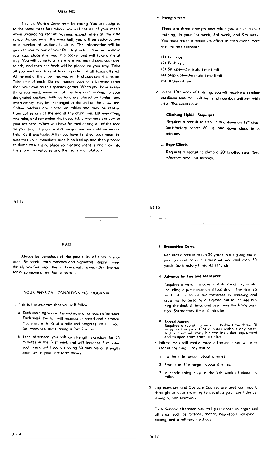#### **MESSING**

This is 0 Morine Corps term far eating. You are assigned to the some mess hall where you will eat all of your meals while undergoing recruit training, except when at the rifle range As you enter the mess hall, you will be assigned one of a number af sections to sit in. The information will be given to you by one of your Drill Instructors. You will remove your cop, place it in your hip pocket ond will take a metal tray. You will come to a line where you moy choose your own salads, and then hot foods will be placed on your troy. Toke ofl you wont and toke ot least a portion of ofl foods affered At the end of the chow line, you will find cups and silverware Toke one of each. Do not hondle cups or siJverwore other thon your own as this spreads germs. When you have everything you need, move out of the line and proceed to your designated section. Milk cartons ore placed on tables, and when empty, may be exchanged ot the end of the chow line Coffee pitchers ore ploced on tables and may be refilled from coffee urn at the end of the chow line. Eat everything you take, and remember that good table manners are port of your life here When you hove finished eating all of the food on your tray, If you are still hungry, you may obtain second helpings if available. After you have finished your meal, insure thot your immediote area is policed up and then proceed to dump your trosh, place your eating utensifs and troy into the proper receptocles and then join your platoon

#### c" Strength tests'

There are three strength tests while you are in recruit training, in your 1st week, 3rd week, ond 9th week. You must make a maximum effort in each event. Here are the test exercises:

- (I) Pull ups
- (2) Push ups
- (3) Sit ups-2-minute time limit
- (4) Step ups-3-minute time limit
- (5) 300-yord run
- d, In the 10th week of training, you will receive a combat readiness test. You will be in full combat uniform with rifie. The events are:

### 1. Climbing Uphill (Step-ups).

Requires a recruit to step up and down an 18" step. Satisfactory score: 60 up and down steps in 3 minutes,

#### 2. Rope Climb.

Requires 0 recruit to climb a 20' knotted rope, Sat~ isfactory time: 30 seconds.

BI-15 s. Luci

#### BI-13

#### FIRES

Always be conscious of the possibility of fires in your orea. Be careful with matches and cigarettes. Report immediately any fire, regardless of how small, to your Drill Instructor or someone other than a recruit.

### YOUR PHYSICAL CONDITIONING PROGRAM

- I. This is the program thot you will follow:
	- a. Each morning you will exercise, and run each afternoon. Each week the run will increose in speed and distance You start with 1/4 of 0 mile and progress until in your last week you are running a fost 2 miles.
	- b Each afternoon you will do strength exercises for 15 minutes in the first week and will increase 5 minutes each week until you are doing SO minutes of strength exercises in your lost three weeks

#### 3 **Evacuation Carry.**

Requires a recruit to run 50 yords in a zig-zag route, pick up and corry a simulated wounded man 50 yards, Satisfactory time. 42 seconds

#### 4 Advance by Fire and Maneuver.

Requires 0 recruit to cover a distance of 175 yards, including 0 jump over an 8-foot ditch. The first 25 yards of the course are traversed by creeping and crowling, followed by a zig-zag run to include hitting the deck 3 times and ossuming the firing position. Satisfactory time. 3 minutes.

S. Forced March<br>Requires a recruit to walk or double time three (3)<br>miles in thirty-six (36) minutes without ony halts.<br>Each recruit will corry his own individual equipment<br>and weapon from start to finish

- e Hjkes: You will make three different hikes while in recruit training. They will be
	- 1 To the rifle ronge-about 6 miles
	- 2 From the rifle range-about 6 miles.
	- 3 A conditioning hike in the 9th week of obout 10
- 2 log exercises and Obstacle Courses are used continually throughout your training to develop your confidence, strength, ond teamwork
- 3 Eoch Sunday afternoon you will participote in organized athletics, such as footboll, soccer, bosketball volleyboll, boxing, and a military field doy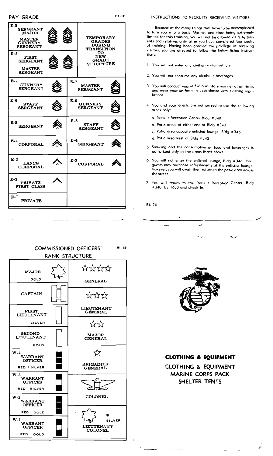| $E-9$<br><b>SERGEANT</b><br><b>MAJOR</b><br><b>MASTER</b><br><b>GUNNERY</b><br><b>SERGEANT</b><br>E-8<br><b>FIRST</b><br><b>SERGEANT</b><br><b>MASTER</b><br><b>SERGEANT</b> |       | <b>TEMPORARY</b><br><b>GRADES</b><br><b>DURING</b><br><b>TRANSITION</b><br>то<br>NEW<br><b>GRADE</b><br><b>STRUCTURE</b> |  |
|------------------------------------------------------------------------------------------------------------------------------------------------------------------------------|-------|--------------------------------------------------------------------------------------------------------------------------|--|
| $E-7$<br><b>GUNNERY</b><br><b>SERGEANT</b>                                                                                                                                   | $E-7$ | <b>MASTER</b><br><b>SERGEANT</b>                                                                                         |  |
| $E-6$<br><b>STAFF</b><br><b>SERGEANT</b>                                                                                                                                     | $E-6$ | <b>GUNNERY</b><br><b>SERGEANT</b>                                                                                        |  |
| $E-5$<br><b>SERGEANT</b>                                                                                                                                                     | $E-5$ | <b>STAFF</b><br><b>SERGEANT</b>                                                                                          |  |
| E-4<br><b>CORPORAL</b>                                                                                                                                                       | $E-4$ | <b>SERGEANT</b>                                                                                                          |  |
| $E-3$<br>LANCE<br><b>CORPORAL</b>                                                                                                                                            | $E-3$ | <b>CORPORAL</b>                                                                                                          |  |
| $E-2$<br><b>PRIVATE</b><br>FIRST CLASS                                                                                                                                       |       |                                                                                                                          |  |
| $E-I$<br><b>PRIVATE</b>                                                                                                                                                      |       |                                                                                                                          |  |

Because of the many things that hove to be accomplished to turn you into a basic Marine, and time being extremely limited for this training, you will not be allowed visits by parents and relatives until after you have completed four weeks of training. Having been granted the privilege of receiving visitors, you are directed to follow the below listed instructions:

- 1. You will not enter ony civilion motor vehicle
- 2. You will not consume any alcoholic beverages.
- 3. You will conduct yourself in a militory monner ot oll times and wear your uniform in accordance with existing regulations.
- 4 You and your quests are outhorized to use the following areas only:
	- a. Recruit Reception Center Bldg #340
	- b. Patio areas ot either end of Bldg #340
	- c. Patio area opposite enlisted lounge, Bldg = 346
	- d. Potio orea west of Bldg = 342
- 5. Smoking and the consumption of food and beverages is outhorized only in the oreas listed above.
- 6. You will not enter the enlisted lounge, Bldg #346 Your quests moy purchase refreshments at the enlisted lounge; however, you will owait their return in the patio oreo across the street.
- 7. You will return to the Recruit Reception Center, Bldg #340, by 1600 and check in.

5.

 $\sim$ 

**BI-20** 

 $\sim$ 

**BI-18** 





## **CLOTHING & EQUIPMENT**

**CLOTHING & EQUIPMENT MARINE CORPS PACK** SHELTER TENTS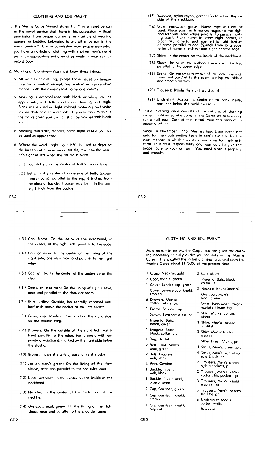#### CLOTHING AND EQUIPMENT

- I, The Marine Corps Manual stotes thot "No enlisted person in the novol service shall have in his possession, without permission from proper outhority, ony article of wearing apparel or bedding belonging to any other person in the novol service." If, with permission from proper outhority, you hove an article of clothing with another mon's nome on it, on appropriate entry must be mode in your service record book,
- 2. Marking of Clothing--You must know these things.
	- o. All articles of clothing, except those issued on temporary memarondum receipt, ore marked in a prescribed manner with the owner's lost nome ond jnitiots
	- b. Marking is accomplished with black or white ink, as appropriate, with letters not more thon *Y2* inch high. Black ink is used on light coJored moteriofs and white ink on dark colored materials. The exception to this is the mon's green scorf, which sholl be marked with block ink.
	- c. Marking mochines, stencils, nome tapes or stomps moy be used os appropriate.
	- d. Where the word "right" or "left" is used to describe the locotion of a nome on an article, it will be the wearer's right or left when the artide is warn.
		- ( 1 ) Bog, duffel; In the center of bottom on outside.
		- (2) Belts: In the center of underside of belts (except trouser belts), perallel to the top, 6 inches from the plote or buckle. Trouser, web, belt: In the center, I inch from the buckle

CE·2

 $\sim$  100 m  $\sim$  100 m  $^{-1}$  .

- (3) Cop, frome: On the inside of the sweatband, in the center, ot the right side, parollel to the edge.
- (4) Cop, garrison: In the center of the lining of the right side, one inch from ond parollel to the right edge.
- ( 5) Cop, utility; In the center of the underside of the visor.
- ( 6) Coats, enlisted men; On the lining of right sleeve, neer and parallel to the shoulder seam.
- ( 7) Shirt, utility: Ovtside, horizontolly centered one· holf inch above the pocket of the left breost.
- ( 8 ) Cover, cap: Inside of the bond on the right side, on the double edge.
- ( 9) Drawers: On the outside of the right holf woist· bond parallel to the edge. For drawers with expending waistband, morked on the right side below the elastic
- (l0) Gloves: Inside the wrists, perollel to the edge,
- (lJ) Jocket, mon's green: On the lining of the right sleeve, neor and parallel to the shoulder seam.
- (12) liner, overcoat: In the center on the inside of the neckbond,
- (l31 Necktie: In the center af the neck loop of the necktie.
- (14) Overcoot, wool, green: On the lining of the right sleeve near and parallel to the shoulder seam.
- (15) Roincoat, nylon-royon, green: Centered on the in-<br>side of the neckbond.
- (16) Scarf, neckwear, green: Nome tape will not be<br>used. Place scorf with norrow edges to the right<br>and left with long edges parollel to person mark-<br>ing scarf. Ploce nome in lower right corner, in<br>block ink, name to reed of nome parollel to ond V<sub>B</sub>-inch from long edge,<br>letter of name 2 inches from right narrow edge.
- {l7} Shirt: !n the center on the inside of the neckbond
- (18) Shoes: Inside of the outboard side near the top,<br>parallel to the upper edge.
- (19) Socks: On the smooth weove of the sock, one inch from and parallel to the seam ioining the ribbed and smooth weoves.
- (20) Trousers: Inside the right woistband.
- (21) Undershirt: Across the center of the back inside, one inch below the neckline seam.
- 3. Initiol clothing issue consists of the orticles of clothing issued to Marines who come in the Corps on active duty for o full tour. Cost of this initial issue can omount to obout \$175.00

Since 10 November 1775, Marines have been noted not only for their outstonding feats in bottle but olso for the neot manner in which they dress ond care for their uniform. It is your responsIbility and your duty to give the proper core *ta* your uniform You must wear it properly ond proudly,

CE-2

l

#### CLOTHING AND EQUIPMENT

4. As a recruit in the Marine Corps, you are given the cloth-<br>ing necessary to fully outfit you for duty in the Marine Corps. This is called the initial clothing issue and costs the Marine Carps about \$175.00 at the present time.

> 3 Cop, utility I Insignia, Bofs: block, collor, It. Z Necktie; khaki (mon's) 1 Overcoat, Man's: wool. green 1 Scarf, Neckwear: rayonocetote, tissue, f.a. 2 Shirt, Man's: cotton, khoki 3 Shirt, Man's: sateen (utility) 3 Shirt, Man's: khaki, tropical 1 Shoe, Dress: Man's, pr. 4 Socks, Men's: brown, pr. 4 Socks, Men's: w/cushian sole, block, pr, 2 Trousers, Men's' green w/hip pockets, pr 2 Trousers, Men's: khaki, cotton /hip pockets, pr. 3 Trousers, Men's. khoki<br>tropical, pr. 3 Trousers, Men's, sateen (utility), pr, 6 Undershirt, Mon's. cotton, white 1 Raincoat

- 1 Closp, Necktie, gold
- 2 Coot, Man's. green
- Cover, Service cop: green
- 1 Cover, Service cap: khoki, tropico!
- 6 Drawers, Men's:<br>cotton, white, pr.
- 
- 1 Frame, Service Cap
- 1 Gloves, Leather: dress, pr.
- InSignia, Bofs: block, cover
- Insignio, Bofs:<br>black, collar, pr.
- 1 Bag, Duffel
- 2 Belt, Coot, Mon's wool, green
- 2 Belt, Trousers.<br>web, khaki
- 2 Boot, Combot
- 1 Buckle: f<sub>/</sub>belt,
- web, khaki 1 Buckle: f<sub>/</sub>belt, wool,<br>blue or green
- Cop, Garrison, green
- 1 Cap, Garrison, khoki, cotton
- Cop, Garrison, khaki, tropical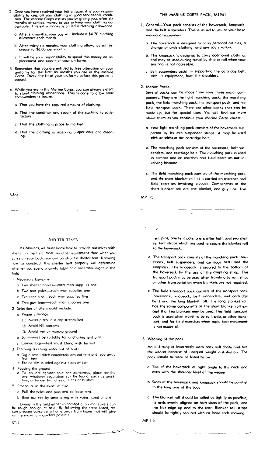- 2. Once you have received your initial issue, it is your respondibility to keep all your clothing in good serviceable condition. The Marine Corps assists you by giving you, after six months of service, money to use to keep
	- o. After six months, your pay wifl include 0 \$4.20 clothing allowance eoch month.
	- b. After thirty-six months, your clothing allowance will in-crease to \$6.00 per month
	- c. It will bE: yoor responsibility to spend this money on re- placement and *repair* of your uniforms
- 3 Remember thot you ore entitled to free olteration on your uniforms for the first six months you ore in the Marine Corps Check the fit of your unHorms before this period is possed
- 4. While you orE in the Morine Corps, you con always expect to stand clothing inspe<:tions. This is done to allow your commanders to insure
	- a. That you hove the required omount of clothing.
	- b. That the condition and repair of the clothing is satisfactory.
	- c. Thot the clothing is properly marked.
	- d. Thot the clothing is receiving proper core and cleaning.

#### THE MARINE CORPS PACK, M1941

- 1. General-Your pack cansists of the haversack, knapsack, and the belt suspenders, This is issued to you as your basic individual equipment
	- a. The haversack is designed to corry personal articles, a change of underclothing, and one doy's ration.
	- b. The knapsack is designed to carry additional clothing, and moy be used during trovel by ship or roil when your sea bag is not occessible
	- c. Belt suspenders ossist in supporting the cartridge belt, with its equipment, from the shoulders.

2. Morine Pocks

Several pocks can be mode from your three mojar components. They are the light marching pack, the marching pock, the field morching pock, the transport pock, and the field transport pock. There are other pocks that can be mode up, but for special uses. You will find out more about them as you continue your Marine Corps career.

- o. Your tight morching pack consists of the hoversack supported by its own suspender strops It may be used **with or without** the cortridge belt.
- b. The marching pock consists of the hoversock. belt suspenders, ond cortridge belt. The marching pack is used in combat and on marches and field exercises not involving bivouac
- c. The field marching pack consists of the morching pack and the short blonket roll. It is carried On marches ond field exercises involving bivouac. Components of the short blanket roll are one blanket, one guy fine, five

MP 1·5

 $\cdot$ 

CE·2

#### SHELTER TENTS

As Marines, we must know how to provide ourselves with shelter in the field With no other equipment than what you carry on your back, you can construct a shelter tent Knowing how to construct this shelter tent properly wIll determine whether you spend a camfartable or a miserable night in the f,eld

1 Necessary Equipment

- a Two shelter halves-each man supplies ane
- b Two tent poles-each man supplies one
- c Ten tent pins--each man supplies five
- d Two guy Imes--eoch mOn supplies *one*
- 2 Selection of site should include:
	- o Proper drainage
		- ( J) Never pitch in a dry stream bed
		- (2) Avoid hill bottoms
		- (3) Avoid wet or marshy ground
	- b Soil-must be suitable for ancharing tent pins
	- c Camoufloge--tent must blend With terrain
- 3. Ditching (keeping water out of tent)
	- a. Dig a small ditch completely around tent and lead away from tent
	- b Excess dirt is piled against sides of tent
- 4. Podding the ground
	- a. To insulate agoinst cold and dampness, place poncho over whatever vegetation can be faund, such as grass,<br>hay, or tender branches af trees ar bushes
- 5. Procedure in the event of fire
	- a Pull the poles and pms and collapse tent.
	- b Beot aut fire by smothering with woter, sond ar dirt.

Living in the field either in combot or on maneuvers can<br>be rough enough ot best By following the steps listed, we<br>can prepare ourselves a home awoy from home thot will give<br>us the maximum comfort possible

ST-I

tent pins, one tent pole, one shelter half, and two shelter tent strops which are used to secure the blanket roll to the haversack.

- d. The transport pock consists of the marching pock (haversock, belt suspenders, and cortridge belt) and the knapsack. The knapsack is secured to the bottom of the haversack by the use of the coupling strop. The transport pock may be used when traveling by rail, ship, or other transportation when blankets ore not required.
- e. The field transport pock consists of the transport pock (haversack, knapsack, belt suspenders, and cartridge belt) and the long blanket roll. The long blanket roll has the some components as the short blanket roll ex· cept that two blankets may be used. The field transport pack is used when traveling by rail, ship, or other transport, and for field exercises when rapid foot movement is not essential.
- 3. Wearing of the pock.

An ill-fitting or incorrectly warn pock will chafe and tire the wearer becouse of unequal weight distribution. The pock should be worn as listed below:

- a. TOp of the hoversack at right angle to tne neck and even with the shoulder level of the wearer.
- b. Sides of the haversack and knapsack should be porallel to the long axis of the body.
- c. The blanket roll should be rolled os tightly as possible, its ends evenly aligned on bath sides of the pack, and the free edge up and to the rear. Blanket roll straps should be tightly secured with no loose ends showing.
- MP1-S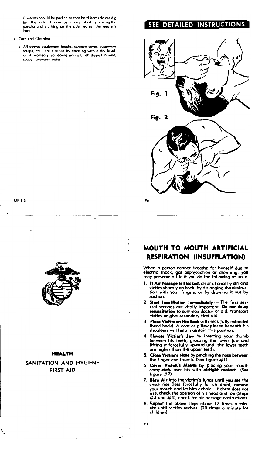- d. Contents should be packed so that hard items do not dig into the bock. This con be accomplished by placing the poncha and clathing on the side nearest the wearer's back.
- 4. Care and Cleaning.
	- o. All canvas equipment (pocks, conteen cover, suspender straps, etc.) are cleaned by brushing with a dry brush or, if necessory, scrubbing with a brush dipped in mild, soapy, lukewarm water

## SEE DETAILED INSTRUCTIONS



MPl-5

N



#### HEALTH

## SANITATION AND HYGIENE FIRST AID

## MOUTH TO MOUTH ARTIFICIAL RESPIRATION (INSUFFLATION)

When a person cannot breathe for himself due to<br>electric shock, gas asphyxiation or drowning, <mark>you</mark><br>may preserve a life if you do the following at once:

- 1. I**f Air Passage Is Blocked,** clear at once by striking victim shorply on back, by dislodging the obstruction with your fingers, or by drawing it out by suction.
- 2. Start Insufflation Immediately --- The first sev-<br>erol seconds are vitally important. Do not delay<br>resuscitation to summon doctor or aid, transport victim or give secondary first aid.
- 3. **Place Victim on His Back** with neck fully extended (head back). A coat or pillaw placed beneath his shoulders will help maintain this position.
- 4. Elevate Victim's Jaw by inserting your thumb between his teeth, grasping the lower jaw and lifting it forcefully upward until the lower teeth are higher than the upper teeth.
- 5. Close Victim's Nose by pinching the nose between the finger and thumb. (See figure  $# 1$ )
- 6. Cover Victim's Mouth by placing your mouth<br>completely over his with airtight contact. (See<br>figure #2)
- 7. Blow Air into the victim's lungs until you see the chest rise (less forcefully for children); remove<br>your mouth and let him exhole. If chest does not<br>rise, check the position of his head and jow (Steps<br>#3 ond #4); check for air passage obstructions.
- 8. Repeat the above steps about 12 times a min- ute until victim revives\_ (20 times a minute for children)

FA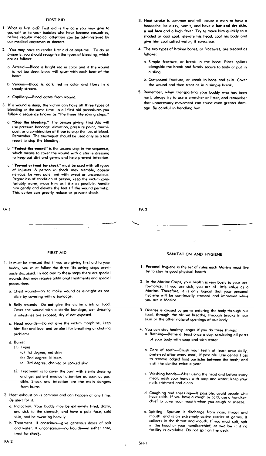#### FIRST AID

- 1. What is first aid? First aid is the core you may give to yourself or to your buddies who hove become casualties, before regular medical attention con be administered by our medicol corpsmen or doctors.
- 2. You may hove to render first aid ot anytime. To do so properly, you should recognize the types of bleeding, which ore as follows:
	- o. Arterial-Blood is bright red in color and if the wound is not too deep, blood will spurt with each beat of the heart.
	- b. Venous---Blood is dark red in color and flows in a steady stream.
	- c. Capillary-Blood oozes from wound.
- 3. If a wound is deep, the victim con hove all three types of bleeding at the some time. In all first aid procedures you follow a sequence known as "the three life-saving steps."
	- o. "Stop the bleeding." The person giving First Aid will use pressure bondage, elevation, pressure point, tourniquet, or a combination of these to stop the loss of blood. Remember: The tourniquet should be used only as a lost resort to stop the bleeding.
	- b. "Protect the wound" is the second step in the sequence, which means to cover the wound with a sterile dressing to keep out dirt and germs and help prevent infection.
	- c. "Prevent or treat for shock" must be used with all types of injuries. A person in shock may tremble, appear nervous, be very pale, wet with sweat or unconscious. Regardless of condition of person, keep the victim comfartably warm, move him as little as possible, handle him gently and elevate the feet (if the wound permits). This action can greatly reduce or prevent shock.

FA-l

#### 3. Heat stroke is common and will cause a man to have a headache, be dizzy, vomit, and have a hot and dry skin,  $\bullet$  red face and a high fever. Try to move him quickly to a shaded or cool spot, elevate his head, cool his body and give him cool salted water, if conscious.

- 4. The two types of broken bones, or fractures, are treated as follows:
	- a. Simple fracture, or break in the bone. Place splints alongside the break and firmly secure to body or put in a sling.
	- b. Compound fracture, or break in bone and skin. Cover the wound ond then treat as in a Simple break.
- 5. Remember, when transporting your buddy who has been hurt, always try to use a stretcher or litter, and remember that unnecessary movement can couse even greater damage. Be careful in handling him.

FA-2

#### FIRST AID

- 1. It must be stressed that if you are giving first aid ta your buddy, you must follow the three life-saving steps previously discussed. In addition to these steps there are special wounds that may require additional treatments and special precautions.
	- a. Chest wound--try to make wound as air-tight as possible by covering with a bondage.
	- b. Belly wounds--Do not give the victim drink or food. Cover the wound with a sterile bondoge, wet dressing if intestines are exposed, dry if not exposed.
	- c. Head wounds--Do not give the victim morphine, keep him flat and level and be olert for breathing or choking problems.
	- d. Burns:
		- (1) Types
			- (a) 1 st degree, red skin
			- (b) 2nd degree, blisters
			- (el 3rd degree, chorred or cooked skin
		- (2) Treatment is to cover the burn with sterile dressing and get potient medical ottention as soon as possible. Shock and infection ore the main dangers from burns.
- 2. Heat exhaustion is cammon and can happen at any time. Be alert for it.
	- a. Indication. Your buddy moy be extremely tired, dizzy, and sick to the stomach, and have a pale face, cold skin, and be sweating heavily.
	- b. Treatment. If conscious-give generous doses of salt ond water. If unconscious-no liquids-in either case, treat for shock.

#### SANITATION AND HYGIENE

- 1. Personal hygiene is the set of rules each Morine must live by to stay in good physical health.
- 2. In the Morine Corps, your health is very bosic to your performance. If you are sick, you are of little value as a<br>Marine. Therefare, it is anly logical that your personal hygiene will be continually stressed and improved while you are 0 Marine.
- 3. Disease is coused by germs entering the body through our food, through the air we breathe, through breaks in our skin or the ather natural openings of our body.
- 4. You can stay healthy longer if you do these things: a. Bathing--Bathe at least once a day, scrubbing all parts of your body with soap and with water.
	- b. Core of teeth-Brush your teeth at least once doily, preferred after every meal, if possible. Use dentol floss to remove lodged food particles between the teeth; and visit the dentist twice a year.
	- c. Washing hands--After using the head and before every meal, wash your hands with soop and water; keep your noils trimmed and clean
	- d. Coughing and sneezing-If posSible, avoid people who have colds. If you have a cough or cold, use a handkerchief to cover your mouth when you cough or sneeze.
	- e. Spitting-Sputum is discharge from nose, throot and mouth, and is an extremely active carrier of germs. It collects in the throot and mouth. If you must spit, spit In the head or your handkerchief, or swallow it if no facility is available Do not spit on the deck.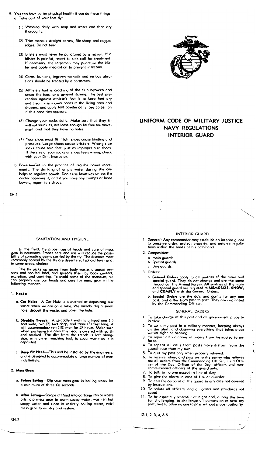- 5. You can have better physical health if you do these things. 0< Toke core of your feet bY:
	- (l) Washing doily with soap and waler and then dry thoroughly<
	- (2) Trim toenails straight across, file sharp and rogged edges. Do not tear
	- (3) Blisters must never be punctured by a recruit. If a<br>blister is painful, report to sick call for treatment. If necessary, the corpsman may puncture the blister and opply medication to prevent infection.
	- (4) Corns, bunions, ingrown toenails and serious abrasions should be treated by a corpsman
	- (5) Athlete's foot is crocking of the skin between and under the toes, Or a generol itching. The best prevention against athlete's foot is to keep feet dry and clean, use shower shoes in the living area ond showers, ond opply foot powder doily< See corpsman if this condition appears.
	- (6) Chonge your socks doily< Make sure thot they fil without wrinkles, are loose enough for free toe mavement, ond thot they hove no holes.
	- (7) Your shoes must fit. Tight shoes couse binding and pressure. Large shoes COuse blisters. Wrong size socks couse sore feet, just aS fmproper size shoes. If the size of your socks ar shoes feels wrong, check with your Drill Instructor.
	- b. Bowels--Get in the practice of regulor bowel movements. The drinking of ample water during the day helps to regulate bowels. Don't use laxatives unless the doctor approves it, and if you have any cramps or toose bowels, report to sickbay.

 $SH-1$ 

#### SANITATION AND HYGIENE

In the field, the proper use of heads and care of mess gear is necessary. Proper care and use will reduce the possibility of spreading germs carried by the fly. The diseases mast<br>commonly spread by the fly are dysentery, typhoid fever and,<br>in some areas, cholera.

The fly picks up germs from body waste, diseased per-<br>sons and spoiled food, and spreads them by body contact,<br>excretion, and vomiting. To avoid some of the menaces, we<br>can properly use our heads and care for mess gear in

#### 1. Heads:

- a. Cat Holes--- A Cat Hole is a method of depositing our waste when we are on a hike. We merely dig a small hole, deposit the waste, and cover the hole<
- b. Straddle Trench--A straddle trench is a head one (1) fool wide, two (2) feet deep, and th'ee (3) feel long; it will accommodate ten (10) men for 24 hours< Make sure when you leave the orea this head is covered with earth<br>and marked. The dirt from the trench is left alongside, with on entrenching tool, to cover waste as it is deposited
- c. Deep Pit Head-This will be installed by the engineers, and is designed to accommodate a large number of men indefinitely.
- 2. Mess Geor:
	- a. Before Eating-Dip your mess gear in boiling water for a minimum of three (3) seconds.
	- b. After Eating-Scrape off food into garbage can or waste pits, dip mess gear in warm soapy water, wash in hot soapy water and rinse in activety boiling water, twirf mess gear to air dry and restore,



## UNIFORM CODE OF MILITARY JUSTICE NAVY REGULATIONS INTERIOR GUARD

#### INTERIOR GUARD

- L Generol: My commander may establish an interior guard to preserve order, protect property, and enforce regula-tions within the limits of his cammand.
- 2< Composition:
	- a Main guards
	- b. Special guards
	- c. Brig guards.

3. Orders:

 $\ddot{\cdot}$ 

- a. General Orders apply to all sentries of the main and<br>special guard. They do not change and are the same<br>throughout the Armed Forces. All sentries of the main<br>and special guard ore required to MEMORIZE, KNOW,<br>and COMPLY
- b. **Special Orders** are the do's and don'ts far any one post, and differ from post to post. They are originated by the Commanding Officer.

#### GENERAL ORDERS

- To take charge of this post and all government property in view.
- 2. To walk my post in a military manner, keeping always<br>on the alert, and observing everything that takes place<br>within sight or hearing.
- 3. To report all violations of orders I am instructed to en-<br>force.
- 4. Ta repeat all calls from posts. more distont from the guardhouse: than my own. 5" To quit my post only when properly relieved

į

 $\ddot{\cdot}$ 

- 
- 6. To receive, obey. and pass on to the sentry who relieves me all *orders* from the Commanding Officer, Field Offi-cer of the Day, Officer of the Doy, officers and non~ commissioned officers of the guord only
- 7. To talk to no one except in line of duty
- 8. To give the olorm in case of fire or disorder
- To call the corporol of the guard in any cose not covered by instructions.
- 10. To solute all officers, and alf colors ond standards not cosed
- 1 L To be especiolly wotchful ot night and, during the time for challenging, to choUenge aU persons on or near my post, and to allow no one to poss without proper outhartty

IG 1,2,3,4, & 5 -----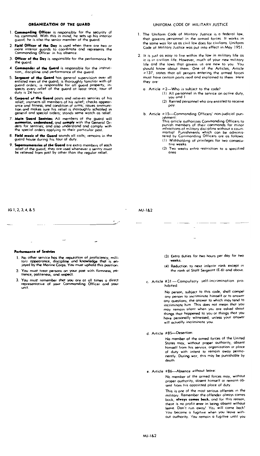#### ORGANIZATION OF THE GUARD

- 1. **Commana**<sub> $\frac{1}{4}$ </sub> his comman<br>  $\frac{1}{4}$  he is **Commanding Officer** is responsible for the security of<br>his command. With this in mind, he sets up his interior<br>guard; he is also the seniar member of the guard.
- 2. Field Officer of the Day is used when there are two or more interior guards to coordinate and represents the Commanding Officer in his absence.
- 3. Officer of the Day is responsible for the performance by the guard
- **Commander of the Guard** is responsible for the instruc-<br>tion,, discipline and performance of the guard.  $\overline{A}$
- 5. Sergeant of the Guard manufacture or the guard.<br>The enterprise of the Guard manufacture in the guard of the guard is thoroughly familiar with all guard orders; is responsible for all guard property, inspects every relie
- So. Corporal of the Guerd posts and relieves sentries of his<br>relief; instructs all members of his relief; checks appear-<br>ance and finness, and condition of arms; issues ammuni-<br>tion and makes sure his relief is thoroughly
- 7. Main Guard Sentries: All members of the guard will memorize, understand, and comply with the General Orders for sentries; and also understand and comply with the special orders applying to their particular post.
- **Field music of the Guard** sounds all calls; remains in the<br>guard house during his tour of duty. 8
- Supernumeraries of the Guard are extra members of each relief of the guard; they are used whenever a sentence is of ex-<br>be relieved from post by other than the regular relief.

#### UNIFORM CODE OF MILITARY JUSTICE

- 1. The Uniform Code of Military Justice is a federal law, that governs personnel in the armed forces. It works in the same way for us as civil law does for civilians. Uniform Code of Military Justice was put into effect in May 1951.
- 2. It is just as easy to live within the law in military life as it is in civilian life. However, much of your new military life and the lows that govern us are new to you You should know about them. One of the Articles, Article =137, states thot all persons entering the armed forces must have certain parts read and exploined to them Here they ore
	- a Article = 2-Who is subject to the code?
		- (1) All personnel in the service on octive duty, you and I
		- (2) Retired personnel who ore entitled to receive pay
	- b. Article = 15-Commanding Officers' non-judicial punishment ishment:<br>mission transference commonology officers to<br>punish members of their commonds for minor<br>infractions of military discipline without a court-<br>martial Punishments which can be adminis-<br>tered by Commonding Officers ar (1) Withholding of privileges far two consecutive weeks
		- (2) Two weeks extra restriction to a specified area

IG 1, 2, 3, 4, & 5

 $MJ-182$ 

 $\cdot$ 

Performance of Sentries

- 1. No other service has the reputation of proficiency, military appearance, discipline and knowledge that is enjoyed by the Marine Corps. You must uphold this position.
- 2. You must treat persons on your post with firmness, patience, paliteness, and respect.
- 3. You must remember that you are at all times a direct<br>representative of your Commanding Officer and your<br>unit.
- (3) Extra duties for two hours per day for two weeks.
- (4) Reduction to next inferior rank except in the rank of Staff Sergeant (E-6) and above.
- c. Article #31-Campulsory self-incrimination prohihited:

Na person, subject to this code, shall compel any person to incriminate himself or to answer any questions, the answer to which may tend to<br>incriminate him This does not mean thot you may remain silent when you are asked about things that happened to you or things that you have personally witnessed, unless your answer will actually incriminate you.

d. Article #85-Desertion:

No member of the armed forces of the United States may, without proper authority, absent<br>himself from his service, organization or ploce of duty with intent to remain away permonently. During war, this may be punishable by death

e. Article #86-Absence without leave:

No member of the armed forces may, without proper authority, absent himself or remain obsent from his appointed ploce of duty.

This is one of the most serious offenses in the military. Remember the offender olwoys comes bock, always comes back, ond for this reason, there is no profit ever in being absent without leave. Don't run awoy! You will come back!<br>You become a fugitive when you leave without outhority. You remain a fugitive until you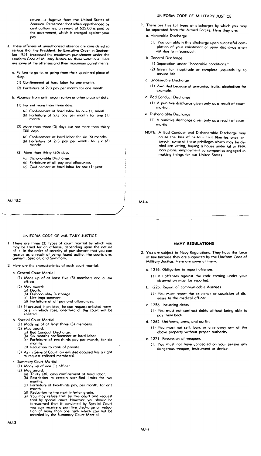return-a fugitive from the United States of America. Remember thot when apprehended by civil authorities, a reword of \$25.00 is poid by the government, which is chorged against your poy.

- 3. These offenses of unauthorized absence are considered SO serious that the President, by Executive Order in September 1951, increased the moximum punishment under the Uniform Code of Military Justice for these violations. Here are some of the offenses and their maximum punishments
	- a. Failure to go to, or going from their appointed place of duty.
		- (1) Confinement at hard labor for one month.
		- (2) Forfeiture of 2/3 poy per month for one month.
	- b. Absence from unit, argonization or other place of duty.
		- (1) For not more than three days:
			- (a) Confinement at hord labor- for one (1) month. (b) Forfeiture of 2/3 poy per month for one (I) month.
		- $(2)$  More than three  $(3)$  days but not more than thirty (30) days
			- (0) Confinement at hard labor for six (6) months. (b) Forfeiture of 2/3 poy per month for six (6) months
		- (3) More than thirty (30) days:
			- (0) Dishonorable Discharge.
			- (b) Forfeiture of all poy and allowances
			- (c) Confinement at hard labor for one (1) year.

MJ-I&2

#### UNIFORM CODE OF MILITARY JUSTICE

- There are three (3) types of court martial by which you<br>may be tried for an offense, depending upan the nature<br>of it. In the order of severity of punishment that you can<br>receive as a result of being found guilty, the court
- 2. Here are the characteristics of each court martial:
	- a. General Court Martial
		- (I) Mode up of at least five (5) members and a low officer.
		-
		- (2) May award:<br>(o) Death.<br>(b) Dishonorable Discharge.
			- (c) Life imprisonment
			- (d) Forfeiture of all poy and allowances.
		- (3) If accused is enlisted, he can request enlisted mem-bers, in which case, one-third of the court will be enlisted.
	- b. Special Court Martial
		- (1) Made up of at least three (3) members.
		- (2) May award:
			-
			- (0) Bad Conduct Discharge. (b) Six months confinement at hard labor. (c) Forfeiture of two-thirds poy per month, for six
			- months. (d) Reduction to rank of private.
			-
		- (~) As in General Court, on enlisted accused has a right to request enlisted member(s).
	- c. Summary Court Martial:
		- (1) Mode up of one (1) officer.
		-
		- (2) May award:<br>(a) Thirty (30) days confinement ot hord lobor.<br>(b) Restriction to certain specified limits for two
			- months. (c) Forfeiture of two-thirds poy, per month, for one
			- (d) Reduction to the next inferior grade.<br>(e) You mov refuse trial by this caurt a
			- (e) You moy refuse trial by this court ond request<br>trial by special court. However, you should be<br>foreworned that if convicted by Special Court<br>you can receive a punitive dischorge or reduc-<br>tion of more than one rank whic

#### UNIFORM CODE OF MILITARY JUSTICE

- 1. There ore five (5) types of discharges by which you may be separated from the Armed Forces. Here they are: a. Honorable Discharge
	- - (I) You can obtain this discharge upon successful completion of your enlistment or upon discharge when not due to misconduct.
	- b. General Discharge
		- (I) Separation under "honorable conditions."
		- (2) Given for inaptitude or complete unsuitability to service life.
	- c. Undesirable Discharge
		- (1) Awarded because of unwonted traits, alcoholism for example.
	- d. Bad Conduct Discharge
		- (1) A punitive discharge given only as a result of courtmartial.
	- e. Dishonorable Discharge

(I) A punitive discharge given only as a result of courtmartial.

NOTE: A Bad Conduct and Dishonorable Discharge may couse the loss of certain civil liberties once enjoyed-some of these privileges which may be denied are voting, buying a house under GI or FHA loon plans, employment by companies engaged in making things for our United States.

MJ-4

*j*   $\overline{\phantom{a}}$ 

#### NAVY REGULATIONS

- 2. You are subject to Navy Regulations. They have the farce of low because they are supported by the Uniform Code of Military Justice. Here are some of them.
	- a. 1216. Obligation to report offenses
		- (1) All offenses against the code coming under your observation must be reported.
	- b. 1225. Report of communicable diseases
		- (I) You must report the existence or suspicion of diseases to the medical officer
	- c. 1256. Incurring debts
		- (I) You must nat contract debts without being able to poy them bock.
	- d. 1262. Uniforms, arms, and outfits
		- (l) You must nat sell, loon, or give away any of the above property without proper authority.
	- e. 1271 Possession of weapans
		- (1) You must not have concealed on your person any dangerous weapon, instrument or device.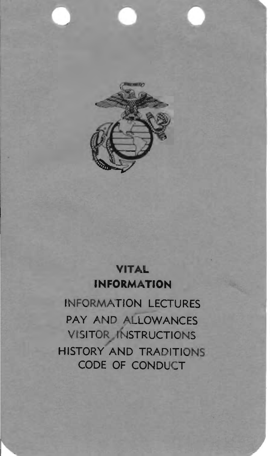

## **VITAL INFORMATION**

INFORMATION LECTURES PAY AND ALLOWANCES VISITOR INSTRUCTIONS<br>HISTORY AND TRADITIONS CODE OF CONDUCT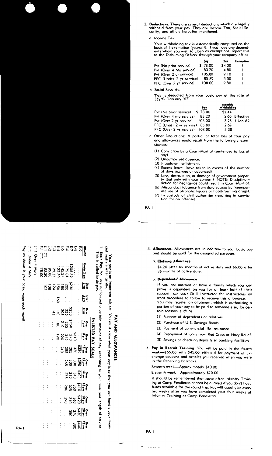

- 2. Deductions. There are several deductions which are legally withheld from your pay. They are Income Tox, Sociol Security, and others hereafter mentioned.
	- a. Income Tax:

Your withholding tax is automaticolly computed on the basis af 1 exemption (yourself). If you have any depend-<br>ents whom you wish to cloim os exemptions, report this<br>to the Disbursing Officer through your company office.

|                          | Pay     | Tex    | Exemption |
|--------------------------|---------|--------|-----------|
| Pvt (No prior service)   | \$78.00 | \$4.00 |           |
| Pvt (Over 4 Mo service)  | 83.20   | 4.80   |           |
| Pvt (Over 2 yr service)  | 105.00  | 910    |           |
| PFC (Under 2 yr service) | 85.80   | 5.50   |           |
| PFC (Over 2 yr service)  | 108.00  | 9.80   |           |

**b** Social Security:

This is deducted from your basic pay at the rote of<br>3½% (January '62).

|                                | Pay | Monthly<br>Withholding |
|--------------------------------|-----|------------------------|
| Pvt (No prior service) \$78.00 |     | \$2.44                 |
| Pvt (Over 4 mo service) 83.20  |     | 2.60 Effective         |
| Pvt (Over 2 yr service) 105.00 |     | 3.28 1 Jon 62          |
| PFC (Under 2 yr service) 85.80 |     | 2.68                   |
| PFC (Over 2 yr service) 108.00 |     | 3 3 8                  |

c. Other Deductions: A partial ar total loss of your pay and allowances would result from the fallowing circumstances:

- (1) Conviction by a Court-Martial (sentenced to loss of
- pay).<br>(2) Unauthorized absence.
- (3) Fraudulent enlistment.
- (4) Excess leave (leave taken in excess of the number af doys accrued or advanced)
- In loss, destruction, or domage of government proper-<br>ty (but only with your consent) NOTE: Disciplinary<br>action for negligence could result in Court-Martial.
- disconduct (absence from duty caused by intemper-<br>ate use of olcoholic liquors or hobit-forming drugs).
- (7) In custody of civil authorities (resulting in conviction for on affense).

PA-1

3. Allowances. Allowonces are in oddition to your basic pay ond should be used for the designated purposes.

#### a. Clothing Allowance

\$4.20 after six months of octive duty and \$6.00 after 36 months of octive duty.

#### **b.** Dependents' Allowance

If you are married or hove a family which you can<br>prove is dependent on you for ot least half of their support, see your Drill Instructor for instructions on what procedure to follow to receive this allowance. You may register an ollotment, which is authorizing o

- portion of your poy ta be paid to someone else, for certain reasons, such as:
- (1) Support of dependents or relatives.
- (2) Purchose of U.S. Savings Bonds.
- (3) Payment of commercial life insurance
- (4) Repoyment of loans from Red Cross or Navy Relief.
- (5) Savings or checking deposits in banking facilities.
- 4. Pay in Recruit Training. You will be poid in the fourth<br>week-\$65.00 with \$45.00 withheld for payment of Exchonge coupans and articles you received when you were in the Receiving Barrocks.

Seventh week-Approximately \$40.00

Eleventh week-Approximotely \$70.00

It should be remembered that leave after Infontry Troining ot Camp Pendleton connat be allowed if you don't hove funds ovailable for the round trip. Poy will usually be every two weeks after you have completed your four weeks af Infantry Training at Comp Pendleton.

Ρoγ <u>:</u> å **Shown INOVE** basic  $a50m$ each

month

 $PA-1$ 

Ξ

|                      | nis is called basic pay |                                          |    |                                   |                 | ENLISTED PAY SCALI                                                                                                                           |                                            |                      |                      |                                           |               |                             |                                      |
|----------------------|-------------------------|------------------------------------------|----|-----------------------------------|-----------------|----------------------------------------------------------------------------------------------------------------------------------------------|--------------------------------------------|----------------------|----------------------|-------------------------------------------|---------------|-----------------------------|--------------------------------------|
| È                    | Under 2 yr              | å                                        | ٩ĭ | 녆                                 | ۹Î              | R                                                                                                                                            | <b>ទី</b> ដ្ឋី ដូង ដូង<br>៖ ពីខ្លួន ដូង ដូ | e=13388              |                      | <b>ទុក្ខី ភ្នំ</b> ដូន<br>•ំដ្ឋី ក្នុង និ | 888812        | <b>8213</b><br><b>12328</b> | $\frac{37}{280}$<br>$\frac{38}{380}$ |
| ∾                    |                         |                                          |    |                                   | $\frac{1}{2}$   |                                                                                                                                              |                                            |                      |                      |                                           |               |                             |                                      |
|                      |                         |                                          |    |                                   |                 |                                                                                                                                              |                                            |                      |                      |                                           |               |                             |                                      |
|                      |                         |                                          |    |                                   |                 |                                                                                                                                              |                                            |                      |                      |                                           |               |                             | $\vdots$                             |
|                      |                         |                                          |    |                                   |                 |                                                                                                                                              |                                            |                      |                      |                                           |               | ŧ.                          |                                      |
|                      |                         |                                          |    |                                   |                 |                                                                                                                                              |                                            |                      | $\vdots$             | $\frac{1}{2}$                             | $\frac{1}{2}$ | $\vdots$                    |                                      |
|                      |                         | រ<br>នេះមិនីមី ខ្លី<br>សន្ថិនី ខ្លី ខ្លី | š  | :ខ្លួនខ្លួ <u>ក</u><br>ខ្លួនខ្លួន | $3332$<br>$358$ | $\frac{3}{25}$ $\frac{2}{5}$ $\frac{2}{5}$ $\frac{2}{5}$ $\frac{2}{5}$ $\frac{2}{5}$ $\frac{2}{5}$ $\frac{2}{5}$ $\frac{2}{5}$ $\frac{2}{5}$ |                                            | $\vdots$             | İ                    | $\vdots$                                  |               | $\frac{1}{2}$               | 111                                  |
|                      |                         |                                          |    |                                   | $\frac{1}{2}$   | $\vdots$                                                                                                                                     |                                            |                      |                      | Ì,                                        | $\vdots$      |                             |                                      |
|                      |                         |                                          |    | $\vdots$                          | $\vdots$        | $\vdots$                                                                                                                                     | Ì.<br>$\vdots$                             | $\vdots$<br>$\vdots$ | $\ddot{\phantom{0}}$ |                                           | $\vdots$      | $\vdots$                    |                                      |
|                      |                         |                                          |    |                                   | $\vdots$        | $\vdots$                                                                                                                                     |                                            |                      | $\vdots$             | $\vdots$                                  | $\vdots$      | Ì                           |                                      |
| $\bar{\mathfrak{z}}$ |                         |                                          |    |                                   | $\frac{1}{2}$   |                                                                                                                                              | $\vdots$<br>$\frac{1}{2}$                  | $\vdots$<br>İ        | $\vdots$             | $\vdots$                                  | $\vdots$      |                             |                                      |
|                      | Over 4 Mo's             |                                          |    |                                   |                 |                                                                                                                                              |                                            |                      |                      |                                           |               |                             |                                      |
| $\sum$ Under 4 Mo's  |                         |                                          |    |                                   |                 |                                                                                                                                              |                                            |                      |                      |                                           |               |                             |                                      |

als sands sands in

## must know š **ALLOWANCES** ₩hot yaur

**Aod** 

 $\bar{a}$  $\vec{o}$ ő

çau å

handle length

**Aont** q service indri

ciol

Your pay is an impe<br>motters intelligently

is an important

subject

۴ğ

AV<sub>d</sub>

**Annu** Ë

ğ ě

Your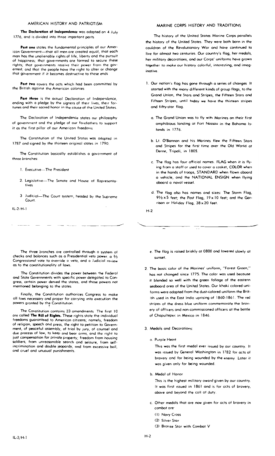#### AMERICAN HISTORY AND PATRIOTISM

The Declaration of Independence was adopted on 4 July 1776, and is divided into three impartant parts

Part one states the fundamental principles of our American Government-that all men are created equal, that each man has the unalienable rights of life, liberty and the pursuit of happiness; that governments are formed to secure these rights; that governments receive their power from the governed; and thot the people have the right to alter or change that government if it becomes destructive to these ends

Part two covers the octs which had been committed by the British against the American colonies

Part three is the actuol Declaration of Independence, ending with a pledge by the signers of their lives, their fortunes and their sacred honor in the cause of the United Stotes.

The Decloration of Independence states our philosophy of government and the pledge of aur farefathers to support it as the first pillar of aur Americon freedoms

The Constitution of the United Stotes was adapted in 1787 and signed by the thirteen original states in 1790.

The Constitution basically establishes a government of three branches:

- **Executive** The President
- 2. Legislotive-The Senate and House of Representatives
- 3 Judicial-The Court system, headed by the Supreme Court

 $IL-2/H-1$ 

#### MARINE CORPS HISTORY AND TRADITIONS

The history of the United States Marine Corps parallels the history of the United Stotes. They were both born in the cauldron of the Revolutianary War and have continued to live for almost two centuries. Our country's flag, her medals, her military decorations, and our Corps' uniforms have grown together to moke our histary colorful, interesting, and imoginative

- 1. Our nation's flag has gone through a series of changes It started with the mony different kinds of group flags, to the Grand Union, the Stars and Stripes, the Fifteen Stars and Fifteen Stripes, until today we have the thirteen stripes and fifty-star flag.
	- a. The Grand Union was to fly with Marines on their first amphibious landing at Fort Nassau in the Bahama Islands in  $1776$
	- b. Lt. O'Bannan and his Marines flew the Fifteen Stars and Stripes for the first time over the Old World at Derne, Tripali, in 1805.
	- c. The flag hos four official names. FLAG when it is flying from a staff or used to cover a cosket, COLOR when in the hands of troops, STANDARD when flown aboard a vehicle, ond the NATIONAL ENSIGN when flying aboard a noval vessel
	- d. The flag also has names ond sizes: The Storm Flag, 91/2 x 5 feet; the Post Flag, 19 x 10 feet; and the Garrison or Holiday Flag, 38 x 20 feet.

 $H<sub>-2</sub>$ 

The three branches are controlled thraugh a system of checks and bolances such as a Presidential veto power a 3/2 Congressional vote to override o veto, and a Judicial review as to the constitutionality of laws.

The Constitution divides the power between the Federal and Stote Governments with specific power delegated to Congress, certain power denied the states, and those powers not mentioned belonging to the states

Finally, the Constitution authorizes Congress to make all laws necessary and proper for carrying into execution the powers granted by the Constitution.

The Constitution contains 23 amendments The first 10 are called The Bill of Rights. These rights stote the individual freedoms guaranteed to American citizens; namely, freedom of religion, speech ond press, the right to petition to Government, of peaceful assembly, of trial by jury, of counsel and due process of law, to keep and bear arms, and the right to just compensation for private property; freedom from housing soldiers, from unreosonable search and seizure, from selfincrimination and double jeopardy, and from excessive boil, and cruel and unusual punishments.

- e. The flog is raised briskly at 0800 ond lowered slowly at sunset
- 2. The bosic color of the Morines' uniform, "Forest Green," has not chonged since 1775. The color was used because it blended so well with the green foliage of the eastern seaboard orea of the United States. Our khaki colored uniforms were adopted from the dust-colored uniform the British used in the East India uprising of 1860-1861. The red stripes of the dress blue uniform commemorate the brovery of afficers and non-commissioned officers at the bottle of Chapultepec in Mexico in 1846
- 3. Medals and Decorations:
	- o Purole Heart

This was the first medal ever issued by our country. It was issued by General Washington in 1782 for acts of bravery and for being wounded by the enemy Later it was given only for being waynded.

b. Medal of Honor

This is the highest military oward given by our country. It was first issued in 1861 and is for acts of brovery, above and beyond the coll af duty.

- c. Other medals that are now given for acts of bravery in combot are:
	- (1) Navy Cross
	- (2) Silver Star
	- (3) Bronze Stor with Combot V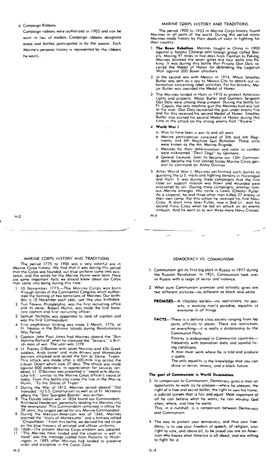#### d, Campaign Ribbons

H·2

H·3

Campaign nbbons were authorized in 1905 and can be worn in lieu of medals. Campaign ribbons designate areas and battles participated in by the wearer. Each Marine's personal history is represented by the ribbons heweors.

#### MARINE CORPS HISTORY AND TRADITIONS

The period 1900 to 1933 in Marine Corps history found<br>Marines in all parts of the world, During this period many<br>Marines made history by their deeds of valor in fighting for their country.

- 1. The Boxer Rebellion. Marines fought in China in 1900<br>against a fanatic Chinese anti-foreign group called Box-<br>es. Moving 97 miles in five days from Tientsin to Peking,<br>Marines stormed the seven gates and four walls into Wall against 200 Boxer ottockers.
- 2. In the second war with Mexico in 1914, Mojor Smedley<br>Butler was sent as 0 spy to Mexico City to search out in-<br>formation concerning rebel activities. For his brovery, Ma-<br>jor Butler was awarded the Medal of Honor.
- 3 The Marines landed in Haiti in 1915 to protect American<br>rights and property. Mojar Buller and Gunnery Sergeant<br>Dan Daly were omong those present During the battle for<br>Ft. Capais, the only mothine gun the Marines had was
- 4 World War 1
	- o. Was to have been 0 WOr to end all wars
	- b Marine participation consisted af 5th and 6th Regi-<br>ments, and 6th Machine Gun Battalian. These units<br>were known as the 4th Marine Brigode.
	- were known as the minimation and valor in combat<br>c. Marines for their determination and valor in combat<br>were nicknamed "Devil Dogs" by Germans.
	- d General Lejeune, later to become our 13th Comman~ dont, become the first United States Morine Corps gen- eral to command on Army Division
- After World War I, Marines performed such duties as<br>guarding the US mails and fighting bandis in Nicoragua<br>and Haiti I t was during these compaigns that the tirst<br>clase arr support mission was flown and wounded were<br>evecuc
- $H A$

MARINE CORPS HISTORY AND TRADITIONS

The period 1775 to 1900 was a very colorful era in<br>Marine Carps history. We find that it was during this period that the Corps was founded, aur blue uniform came into existence, and the words for the Morine Hymn were born. Here<br>ore some important facts we should know about our Corps<br>that came into being during this time:

- 1. 10 November 1775—The Marine Carps was born through action of the Continental Congress which authorized the forming of twa battalions of Marines Our birth-<br>day is 10 November each year, just like your birthdate
- 2 Tun Tavern, Philadelphia, was the first recruiting office ond ltS owner, Robert Mullin, was mode the first hono-rary captaIn and first recruIting officer.
- Samuel Nicholas wos oppointed to rank of captain and was the first Commandant
- First amphibious landing was made 3 March, 1776, at<br>Ft. Nassau in the Bahama Islands during Revolutianary Wor Period.
- Captain John Paul Jones had Marines aboard the ''Bon<br>Hamme Richard'' when he captured the ''Serapis,'' a Brit-<br>ish man of war The year was 1779
- 6 Lt Presley O'Bannon with seven Marines and 436 Greek<br>soldiers, Arob comel and mule dirivers and Mamaluke<br>warriors attacked and seized the fort at Derne, Tripali<br>This attack was mode ofter a 600-mile trip across the<br>Libya dered, Lt. O'Bannan was presented a ''sward with Mame-<br>luke hilt,'' similar ta the Marine Carps afficer's sword of today. From this battle also came the line in the Marine.<br>Hymn, ''To the Shares of Tripali ''
- $\overline{z}$ During the War af 1812, Marines served aboard ''Old<br>Ironsides'' (U.S.S. Constitution) os well as at Ft McHenry<br>where the ''Star Spangled Banner'' was written
- 8 The Florida Indian war in 1834 found our Commandant, Archibald Henderson, personally leading his Marines into<br>the swampland This Commandant remained in office for
- 
- the swampland. This Commandant remained in office for<br>3 years, the longest period for any Marine Commandant.<br>9 During the Mexican-American war of 1846, Marines<br>stormed the "Halbs of Mantezuma" and a fortess called<br>"Chapult

#### DEMOCRACY VS. COMMUNISM

- 1. Communism got its first big start in Russia in 1917 during the Russian Revolution. In 1921, Communism rook over in Russia with a reign af terror and violence.
- 2\_ What pure Communism promises and actually gives are two different pictures-as different as block and white.

PROMISES--A classless society-no restrictions, no poverty, a working mon's paradise, equality of everyone in all things

FACTS-There is a definite closs society ranging from top perty officials to slaves. There are restrictions on everything-it is really a dictatorship by the Communist Party.

> Poverty is widespread in Cammunist countriesfrequently with starvation diets and squalid living conditions,

> A man must work where he is told and produce a quota.

> The only equality is the knowledge thot you con share in terror, misery, and a black future.

#### The gool of Communism is World Domination.

- 3. In comparison to Cammunism, Democracy gives a man on opportunity to work as he pleases-where he pleases; the right of a free and secret ballat; the right to own his home; a judicial system that is fair and equal. Mast important of oll he can believe what he wants; he can warship God when, where, and how he wonts
- This, in a nutshell, is a comparison between Democracy and Communism.
- 4. The way to protect your democracy, ond thus your freedoms, is to use your freedom of speech, of religion, your right to yote, and above all, to be proud you are on American who knows what America is all about, and are willing to fight for it.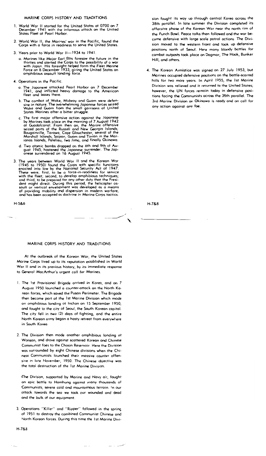#### MARINE CORPS HISTORY AND TRADITIONS

- <sup>L</sup>World Wor II started for the United States at 0700 on 7 December 1941 with the infamous ottock on the United States Fleet at Pearl Horbor.
- 2. World War II, the Marines' war in the Pacific, found the Corps with a farce in readiness to serve the United States.
- 3. Years prior to Warld War II-1934 to 1941
	- a. Marines 1ike Majar Earl Ellis foresaw the future in the thirties and alerted the Corps to the possibility of  $\circ$  war with Japan. His foresight helped form the Fleet Marine<br>Force on 8 December 1933, giving the United States an<br>amphibious assault landing force.
- 4. Operations in the Pacific
	- o. The Japanese attacked Pead Harbor an 7 December 1941, and inflicted heavy damage to the American fleet and bases there.
	- b. The combot of Wake, Midway and Guam were defen~ sive in nature. The overwhelming Japanese forces seized<br>Wake and Guam from the small garrisons of United<br>Stotes Marines ofter a bitter struggle.
	- c. The first major offensive action against the Japanese<br>by Marines took place on the morning of 7 August 1942<br>at Guadalcanal. From then an, the Marine offensive<br>seized parts of the Russell and New Georgia Islands;<br>Bougain
	- d. Two atomic bombs dropped on the 6th and 9th of August 1945, hastened the Japanese surrender. The Jap-<br>- anese surrendered on 16 August 1945.
- 3. The years between World Wor II and the Karean War (1945 to 1950) found the Corps with specific functions encoted into low by the National Security Act of 1947. These were, first, to be a force-in-readiness for service

H-5&6

H-7&8

#### MARINE CORPS HISTORY AND TRADITIONS

At the outbreak of the Korean War, the United States Morine Carps lived up to its reputation established in World War If and in its previous history, by its immediate response to Generol MacArthur's urgent coll far Marines.

- 1. The 1st Pravisional Brigade arrived in Korea, and on 7 August 1950 launched a counter-attock on the North Korean forces, which saved the Pusan Perimeter. The Brigade then become part of the 1st Marine Divisian which mode on omphibious landing ot Inchon on 15 September 1950, and fought to the city of Seoul, the South Korean capitol. The city fell in two (2) days ot fighting, and the entire North Karean army began a hasty retreat from everywhere in South Korea.
- 2. The Division then mode another omphibious londing at Wonsan, ond drove against scattered Korean and Chinese Communist foes to the Chosin Reservoir. Here the Division wos surrounded by eight Chinese divisions when the Chinese Communists lounched their massive counter offensive in late November, 1950. The Chinese objective was the total destruction of the 1st Morine Division.

~The Division, supported by Marine and Navy air, fought on epic bottle to Homhung against many thousands of Communists, severe cold ond mountainous terrain. In our ottack towards the sea we took OUr wounded and dead and the bulk of our equipment.

3. Operations "Killer" ond "Ripper" followed in the spring of 1951 to destroy the combined Communist Chinese and North Korean forces. During this time the 1 st Marine Divi-

H-7&8

sian fought its way up through central Korea across the 38th porallel. In late summer the Division compteted its offensive phose of the Korean War near the north rim of the Punch Bowl. Peace talks then followed and the war be· came defensive with large scale patrol octions. The Division moved to the western front and took up defensive positions north of Seoul. Here many bloody battles for cambat outposts took place an Dagmar, The Hook, Bunker Hill, and others.

4. The Korean Armistice was signed on 27 July 1953, but Marines occupied defensive positions on the battle-scarred hills for two more yeors. In April 1955, the 1st Marine Division was relieved and it returned to the United States; hawever, the UN forces remoin today in defensive positions facing the Communists across the 38th parallel. The 3rd Morine Division on Okinawa is ready and on call for any actian against any foe.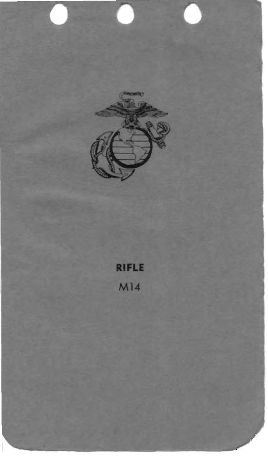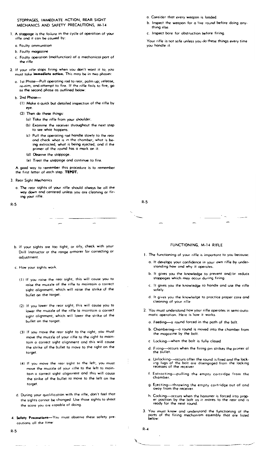#### STOPPAGES, IMMEDIATE ACTION, REAR SIGHT MECHANICS AND SAFETY PRECAUTIONS, M·14

- 1. A stoppage is the foilure in the cycle of operation of your rifle ond it can be caused by:
	- a. Foulty ommunitio
	- b. Faulty magazine
	- c, Faulty operation (malfunction) of a mechanical part of the rifle
- 2. If your rifle stops firing when you don't want it to, you must take **immediate action.** This may be in two phases:
	- o. 1st Phose---Pull operating rod to rear, palm up; release, re-aim, and attempt to fire. If the rifle fails to fire, go to the second phose as outlined below:
	- b 2nd Phose-
		- (1) Make a quick but detailed inspection of the rifle by eye
		- (2) Then do these things:
			- (0) Toke the rifle from your shoulder.
			- (b) Examine the receiver throughout the next step to see what happens.
			- (c) Pull the operating rad handle slowly to the rear ond check what is in the chomber, what is being extrocted, what is being ejected, ond if the primer of the round has a mark on it.
			- (d) Observe the stoppage.
			- (e) Treat the stoppage and continue to fire.

A good way to remember this procedure is to remember the first letter of each step. TEPOT.

- 3. Rear Sight Mechanics
	- o. The reor sights of your rifle should always be 011 the way down and centered unless you ore cleaning or fir~ tng your rifle.

---\_ ..... \_---

R·S

R·S

R·S

- b. If your sights are too tight, or oily, check with your Drill Instructor or the range armorer for correcting or adjustment.
- c How your sights work.
	- (I) If you raise the rear sight, this will couse you to raise the muzzle of the rifle to mointain 0 correct sight olignment, which will raise the strike of the bullet on the torget
	- (2) If you lower the reor sight, this will couse you to lower the muzzle of the rifle to maintain a correct sight alignment, which will lower the strike of the bullet on the torget
	- (3) If you move the reor sight to the right, you must move the muzzle of your rifle to the right to moin~ tain a carrect sight alignment and this will cause the strike of the bullet to move to the right on the target,
	- \4~ If you move the reor sight ta the left, you must move the muzzle of your rifle to the left to maintom 0 correct sight alignment and this will cause the strike of the bullet to move to the left an the target.
- d. During your qualification with the rifle, don't feel thot the Sights connot be chonged Use those sights to shoot the scare you are capable of doing.
- 4. Safety Precoutions--You must observe these safety precoutions all the time'
- a. Consider that every weapon is loaded.
- b. inspect the weapon for a live round before doing anything else.
- c. Inspect bore for obstruction before firing.

Your rifle is not safe unless you do these things every time you handle it.

### FUNCTIONING, M·14 RIFLE

- 1. The functioning of your rifle is importont to you because:
	- a. It develops your confidence in your own rifle by under~ standing how ond why it operates.
	- b. It gives you the knowledge to prevent and/or reduce stoppages which may OCcur during firing.
	- c It gives you the knowledge to handle ond use the rifle safely.
	- d. It gives you the knowledge to practice proper core and cleaning of your rifle
- 2. You must understond how your rifle operotes in semi-outamotic operotion. Here is how it works.
	- o. Feeding-a round forced in the poth of the bolt.
	- b, Chambering--o round is moved into the chamber from the magazine by the bolt.
	- c Locking-when the bolt is fully clased
	- d. Firing---occurs when the firing pin strikes the primer of the bullet.
	- e. Unlocking----occurs after the round is fired and the lock-ing lugs of the bolt are disengaged from the locking recesses af the receiver
	- f. Extrocting--pulling the empty cortridge from the chamber.
	- g, Ejecting-throwing the empty cartridge out of and awoy from the receiver
	- h. Cocking---occurs when the hammer is forced into prop-er position by the bolt as it moves to the rear and IS feady for the next round.
- 3 Yau must know and understond the functioning of the ports of the firing mechonism assembly thot are listed below'

R·4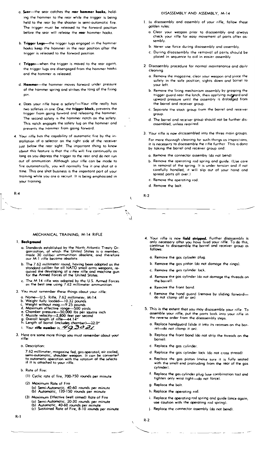- a. Sear-the sear catches the rear hammer hooks, holding the hammer to the rear while the trigger is being held to the rear by the shooter in semi-automotic fire. The trigger must be releosed to the forward position before the sear will release the rear hammer hooks.
- b. Trigger Lugs-the trigger lugs engaged in the hammer hooks keep the hammer in the rear position after the trigger is released to the forward positian.
- c Trigger-when the trigger is maved to the rear ogoin, the trigger lugs ore disengaged from the hammer hooks and the hommer is released
- d. Hammer-the hommer moves farward under pressure af the hammer spring and strikes the tong af the firing pin
- e. Does your rifle have a safety?-Yaur rifle reolly hos two safeties in one. One, the trigger block, prevents the trigger from gaing forword ond releasing the hammer. The second safety is the hammer notch on the safety. This natch engages the sofety lug on the hommer ond prevents the hammer from gaing forward.
- 4. Your rifle has the capability of autamatic fire by the installation of a selector an the right side of the receiver just below the rear sight. The important thing to know obout this feature is that the rifle will fire cantinually os long as you depress the trigger to the rear and do not run out of ommuntion Although your rifle can be mode to fire outomaticolly, you will normally fire it one shot at a time. This one shot business is the important part of your training while you are a recruit. It is being emphasized in your troining.

 $R - 4$ 

#### MECHANICAL TRAINING, M-14 RIFLE

#### 1. Backgro

- a. Standards established by the North Atlantic Treaty Organization, of which the United States is a member, made 30 coliber ammunition obsolete, and therefore our M-1 rifle become obsolete
- The 7.62 millimeter round, having been adopted as the<br>stondard caliber for all NATO small arms weapons, required the developing of a new rifle and machine gun<br>for the Armed Farces of the United States.
- c. The M 14 rifle was adopted by the U.S. Armed Farces<br>as the best one using 7.62 millimeter ammunition.
- 2. You must remember these things obout your rifle:
	- You must remember these trungs used, you must<br>
	a. Name—U.S. Rifle, 7.62 millimeter, M-14.<br>
	b. Weight fully looded—10.32 pounds<br>
	c. Weight fully looded—10.32 pounds<br>
	d. Moximum effective range—50 yards<br>
	e. Chamber pressure
	-
	-
	-
	-
	-
	-
	-
	-
- 3. Here are some more things you must remember about your rifle
	- o. Description:

7.62 millimeter, magazine fed, gos operated, air cooled,<br>semi-automatic, shoulder weapon. It can be converted<br>to automatic operation with the ratation of the selecto<br>if it is attached to your rifle.

b. Rate of Fire:

(1) Cyclic rate of fire, 700-750 rounds per minute

- (2) Maximum Rate of Fire (a) Semi-Automatic, 40-60 rounds per minu<br>(b) Automatic, 120-150 rounds per minute 40-60 rounds per minute
- (3) Maximum Effective (well aimed) Rate of Fire
- (a) Semi-Automatic, 20-30 rounds per minute<br>(b) Automatic, 40-60 rounds per minute<br>(c) Sustained Rate of Fire, 8-10 rounds per minute

#### DISASSEMBLY AND ASSEMBLY. M-14

- 1. In disassembly and assembly of your rifle, fallow these golden rules:
	- a. Clear your weapon priar ta disassembly and always<br>check your rifle for easy movement of parts ofter assembly
	- b. Never use force during disossembly and ossembly.
	- c. During disassembly the removal of parts should be placed in sequence to aid in eosier assembly
- 2 Disassembly procedure for normal maintenance and daily cleaning
	- a. Remove the magazine, cleor your weapon ond place the safety in the safe position, sights down and barrel to vour left.
	- b. Remove the firing mechonism ossembly by grasping the trigger guard near the lotch, then applying outgrard and<br>upward pressure until the ossembly is dislodged from the barrel and receiver group.
	- c. Seporate the stock group from the barrel and receiver group
	- d. The barrel and receiver aroup should not be further disossembled, unless required.
- 3. Your rifle is now disassembled into the three main aroups.

For more thorough cleaning far such things as inspections, it is necessary to disassemble the rifle further This is done by taking the barrel ond receiver group and:

- a. Remove the connectar assembly (do nat bend)
- b. Remove the operoting rod spring and guide. (Use care in removal of the spring. It is under tension and if not<br>carefully hondled, it will slip out of your hond and spread parts all over.)
- c. Remove the operoting rod.
- d. Remove the balt

 $R.2$ 

 $\ddot{\phantom{0}}$ 

٦. U

- 4. Your rifle is now **field stripped.** Further disassembly is only necessary ofter you hove fired your rifle. To do this, continue to disassemble the barrel and receiver group as  $6$ allows
	- a. Remove the gos cylinder plug.
	- b. Remove the gos piston (do not damage the rings).
	- c. Remove the gas cylinder lock.
	- d. Remove the gos cylinder (do not domage the threads on the barrel)
	- e. Remove the front band.
	- Remove the hand guord (remove by sliding forword-<br>do not clamp off or on).
- 5. This is the extent that you may disassemble your rifle. To assemble your rifle, put the parts back into your rifle in the reverse order from the disassembly steps
	- a. Replace handguard (slide it into its recesses an the barrel-do not clamp it on)
	- b. Replace the front band (do not strip the threads an the barrel)
	- c. Replace the gas cylinder.
	- d. Reploce the gas cylinder lock (do not cross thread)
	- e. Replace the gas piston (moke sure it is fully seated with the small end protruding from the rear of the gas cylinder).
	- f. Replace the gas cylinder plug (use combination tool and tighten only wrist tight-do not force).
	- g. Replace the balt
	- h. Replace the operating rod.
	- i. Replace the operating rod spring and guide (once again, use caution with the operating rod spring).
	- j. Replace the connector assembly (do not bend).